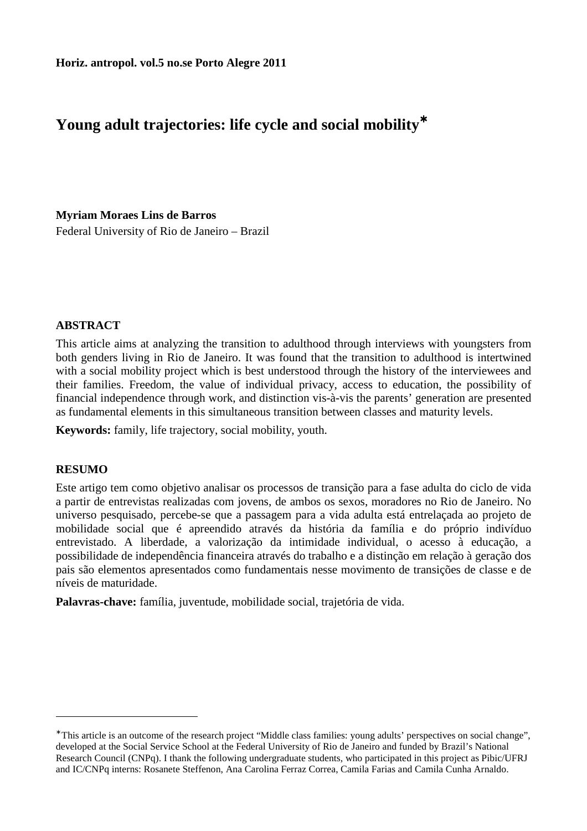# **Young adult trajectories: life cycle and social mobility**<sup>∗</sup>

**Myriam Moraes Lins de Barros** 

Federal University of Rio de Janeiro – Brazil

## **ABSTRACT**

This article aims at analyzing the transition to adulthood through interviews with youngsters from both genders living in Rio de Janeiro. It was found that the transition to adulthood is intertwined with a social mobility project which is best understood through the history of the interviewees and their families. Freedom, the value of individual privacy, access to education, the possibility of financial independence through work, and distinction vis-à-vis the parents' generation are presented as fundamental elements in this simultaneous transition between classes and maturity levels.

**Keywords:** family, life trajectory, social mobility, youth.

### **RESUMO**

 $\overline{a}$ 

Este artigo tem como objetivo analisar os processos de transição para a fase adulta do ciclo de vida a partir de entrevistas realizadas com jovens, de ambos os sexos, moradores no Rio de Janeiro. No universo pesquisado, percebe-se que a passagem para a vida adulta está entrelaçada ao projeto de mobilidade social que é apreendido através da história da família e do próprio indivíduo entrevistado. A liberdade, a valorização da intimidade individual, o acesso à educação, a possibilidade de independência financeira através do trabalho e a distinção em relação à geração dos pais são elementos apresentados como fundamentais nesse movimento de transições de classe e de níveis de maturidade.

**Palavras-chave:** família, juventude, mobilidade social, trajetória de vida.

<sup>∗</sup> This article is an outcome of the research project "Middle class families: young adults' perspectives on social change", developed at the Social Service School at the Federal University of Rio de Janeiro and funded by Brazil's National Research Council (CNPq). I thank the following undergraduate students, who participated in this project as Pibic/UFRJ and IC/CNPq interns: Rosanete Steffenon, Ana Carolina Ferraz Correa, Camila Farias and Camila Cunha Arnaldo.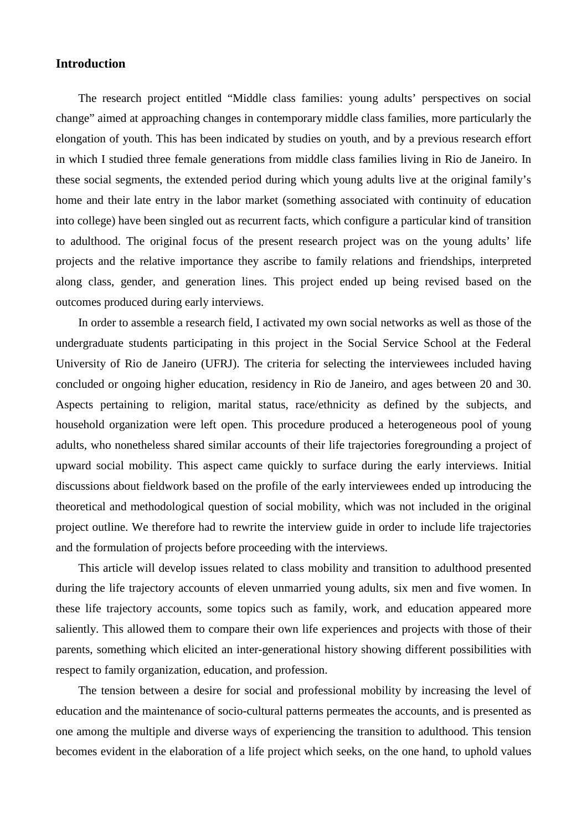#### **Introduction**

The research project entitled "Middle class families: young adults' perspectives on social change" aimed at approaching changes in contemporary middle class families, more particularly the elongation of youth. This has been indicated by studies on youth, and by a previous research effort in which I studied three female generations from middle class families living in Rio de Janeiro. In these social segments, the extended period during which young adults live at the original family's home and their late entry in the labor market (something associated with continuity of education into college) have been singled out as recurrent facts, which configure a particular kind of transition to adulthood. The original focus of the present research project was on the young adults' life projects and the relative importance they ascribe to family relations and friendships, interpreted along class, gender, and generation lines. This project ended up being revised based on the outcomes produced during early interviews.

In order to assemble a research field, I activated my own social networks as well as those of the undergraduate students participating in this project in the Social Service School at the Federal University of Rio de Janeiro (UFRJ). The criteria for selecting the interviewees included having concluded or ongoing higher education, residency in Rio de Janeiro, and ages between 20 and 30. Aspects pertaining to religion, marital status, race/ethnicity as defined by the subjects, and household organization were left open. This procedure produced a heterogeneous pool of young adults, who nonetheless shared similar accounts of their life trajectories foregrounding a project of upward social mobility. This aspect came quickly to surface during the early interviews. Initial discussions about fieldwork based on the profile of the early interviewees ended up introducing the theoretical and methodological question of social mobility, which was not included in the original project outline. We therefore had to rewrite the interview guide in order to include life trajectories and the formulation of projects before proceeding with the interviews.

This article will develop issues related to class mobility and transition to adulthood presented during the life trajectory accounts of eleven unmarried young adults, six men and five women. In these life trajectory accounts, some topics such as family, work, and education appeared more saliently. This allowed them to compare their own life experiences and projects with those of their parents, something which elicited an inter-generational history showing different possibilities with respect to family organization, education, and profession.

The tension between a desire for social and professional mobility by increasing the level of education and the maintenance of socio-cultural patterns permeates the accounts, and is presented as one among the multiple and diverse ways of experiencing the transition to adulthood. This tension becomes evident in the elaboration of a life project which seeks, on the one hand, to uphold values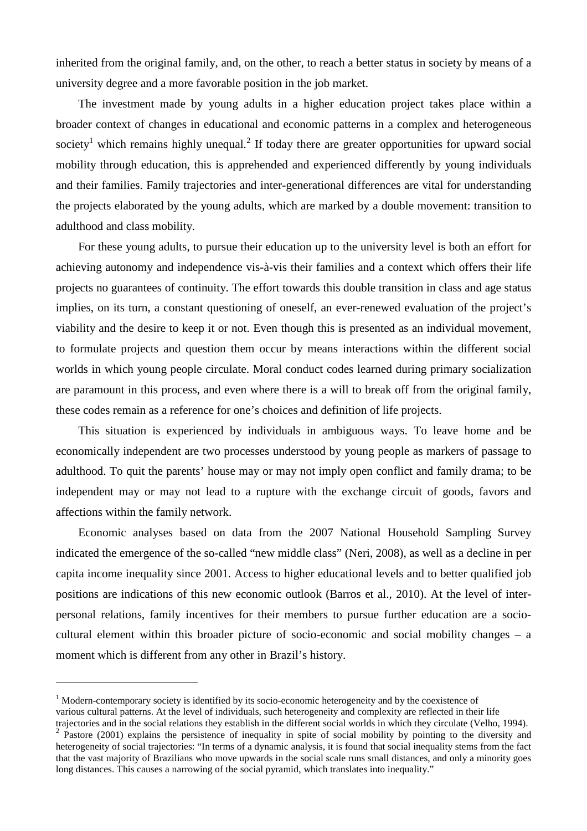inherited from the original family, and, on the other, to reach a better status in society by means of a university degree and a more favorable position in the job market.

The investment made by young adults in a higher education project takes place within a broader context of changes in educational and economic patterns in a complex and heterogeneous society<sup>1</sup> which remains highly unequal.<sup>2</sup> If today there are greater opportunities for upward social mobility through education, this is apprehended and experienced differently by young individuals and their families. Family trajectories and inter-generational differences are vital for understanding the projects elaborated by the young adults, which are marked by a double movement: transition to adulthood and class mobility.

For these young adults, to pursue their education up to the university level is both an effort for achieving autonomy and independence vis-à-vis their families and a context which offers their life projects no guarantees of continuity. The effort towards this double transition in class and age status implies, on its turn, a constant questioning of oneself, an ever-renewed evaluation of the project's viability and the desire to keep it or not. Even though this is presented as an individual movement, to formulate projects and question them occur by means interactions within the different social worlds in which young people circulate. Moral conduct codes learned during primary socialization are paramount in this process, and even where there is a will to break off from the original family, these codes remain as a reference for one's choices and definition of life projects.

This situation is experienced by individuals in ambiguous ways. To leave home and be economically independent are two processes understood by young people as markers of passage to adulthood. To quit the parents' house may or may not imply open conflict and family drama; to be independent may or may not lead to a rupture with the exchange circuit of goods, favors and affections within the family network.

Economic analyses based on data from the 2007 National Household Sampling Survey indicated the emergence of the so-called "new middle class" (Neri, 2008), as well as a decline in per capita income inequality since 2001. Access to higher educational levels and to better qualified job positions are indications of this new economic outlook (Barros et al., 2010). At the level of interpersonal relations, family incentives for their members to pursue further education are a sociocultural element within this broader picture of socio-economic and social mobility changes – a moment which is different from any other in Brazil's history.

<sup>&</sup>lt;sup>1</sup> Modern-contemporary society is identified by its socio-economic heterogeneity and by the coexistence of various cultural patterns. At the level of individuals, such heterogeneity and complexity are reflected in their life trajectories and in the social relations they establish in the different social worlds in which they circulate (Velho, 1994).

 $2^{2}$  Pastore (2001) explains the persistence of inequality in spite of social mobility by pointing to the diversity and heterogeneity of social trajectories: "In terms of a dynamic analysis, it is found that social inequality stems from the fact that the vast majority of Brazilians who move upwards in the social scale runs small distances, and only a minority goes long distances. This causes a narrowing of the social pyramid, which translates into inequality."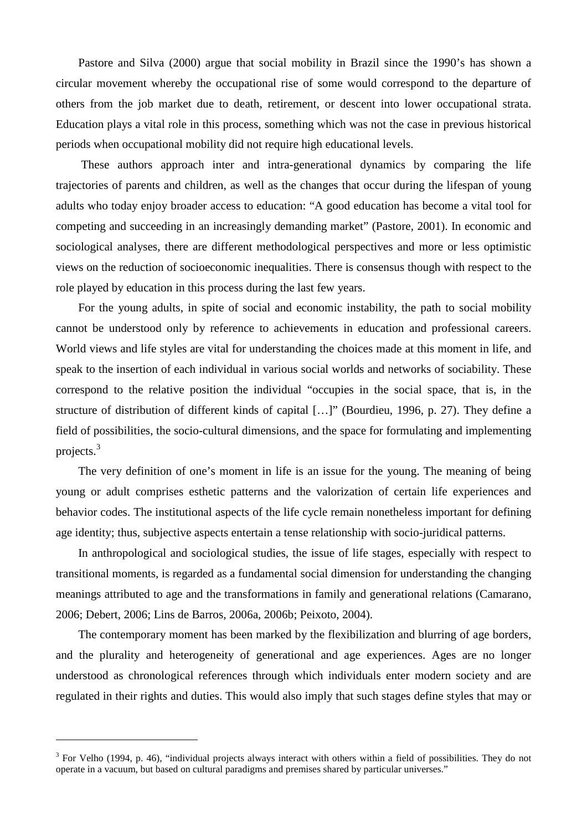Pastore and Silva (2000) argue that social mobility in Brazil since the 1990's has shown a circular movement whereby the occupational rise of some would correspond to the departure of others from the job market due to death, retirement, or descent into lower occupational strata. Education plays a vital role in this process, something which was not the case in previous historical periods when occupational mobility did not require high educational levels.

 These authors approach inter and intra-generational dynamics by comparing the life trajectories of parents and children, as well as the changes that occur during the lifespan of young adults who today enjoy broader access to education: "A good education has become a vital tool for competing and succeeding in an increasingly demanding market" (Pastore, 2001). In economic and sociological analyses, there are different methodological perspectives and more or less optimistic views on the reduction of socioeconomic inequalities. There is consensus though with respect to the role played by education in this process during the last few years.

For the young adults, in spite of social and economic instability, the path to social mobility cannot be understood only by reference to achievements in education and professional careers. World views and life styles are vital for understanding the choices made at this moment in life, and speak to the insertion of each individual in various social worlds and networks of sociability. These correspond to the relative position the individual "occupies in the social space, that is, in the structure of distribution of different kinds of capital […]" (Bourdieu, 1996, p. 27). They define a field of possibilities, the socio-cultural dimensions, and the space for formulating and implementing projects.<sup>3</sup>

The very definition of one's moment in life is an issue for the young. The meaning of being young or adult comprises esthetic patterns and the valorization of certain life experiences and behavior codes. The institutional aspects of the life cycle remain nonetheless important for defining age identity; thus, subjective aspects entertain a tense relationship with socio-juridical patterns.

In anthropological and sociological studies, the issue of life stages, especially with respect to transitional moments, is regarded as a fundamental social dimension for understanding the changing meanings attributed to age and the transformations in family and generational relations (Camarano, 2006; Debert, 2006; Lins de Barros, 2006a, 2006b; Peixoto, 2004).

The contemporary moment has been marked by the flexibilization and blurring of age borders, and the plurality and heterogeneity of generational and age experiences. Ages are no longer understood as chronological references through which individuals enter modern society and are regulated in their rights and duties. This would also imply that such stages define styles that may or

 $3$  For Velho (1994, p. 46), "individual projects always interact with others within a field of possibilities. They do not operate in a vacuum, but based on cultural paradigms and premises shared by particular universes."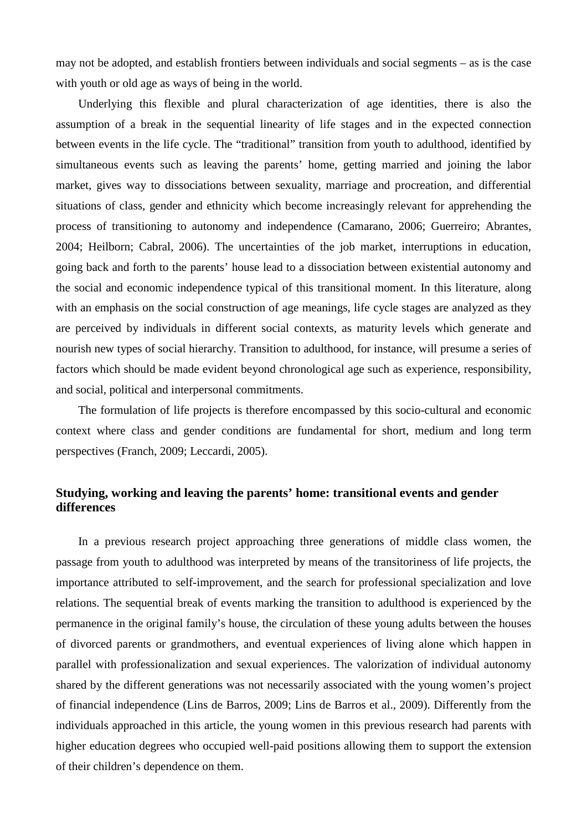may not be adopted, and establish frontiers between individuals and social segments – as is the case with youth or old age as ways of being in the world.

Underlying this flexible and plural characterization of age identities, there is also the assumption of a break in the sequential linearity of life stages and in the expected connection between events in the life cycle. The "traditional" transition from youth to adulthood, identified by simultaneous events such as leaving the parents' home, getting married and joining the labor market, gives way to dissociations between sexuality, marriage and procreation, and differential situations of class, gender and ethnicity which become increasingly relevant for apprehending the process of transitioning to autonomy and independence (Camarano, 2006; Guerreiro; Abrantes, 2004; Heilborn; Cabral, 2006). The uncertainties of the job market, interruptions in education, going back and forth to the parents' house lead to a dissociation between existential autonomy and the social and economic independence typical of this transitional moment. In this literature, along with an emphasis on the social construction of age meanings, life cycle stages are analyzed as they are perceived by individuals in different social contexts, as maturity levels which generate and nourish new types of social hierarchy. Transition to adulthood, for instance, will presume a series of factors which should be made evident beyond chronological age such as experience, responsibility, and social, political and interpersonal commitments.

The formulation of life projects is therefore encompassed by this socio-cultural and economic context where class and gender conditions are fundamental for short, medium and long term perspectives (Franch, 2009; Leccardi, 2005).

# **Studying, working and leaving the parents' home: transitional events and gender differences**

In a previous research project approaching three generations of middle class women, the passage from youth to adulthood was interpreted by means of the transitoriness of life projects, the importance attributed to self-improvement, and the search for professional specialization and love relations. The sequential break of events marking the transition to adulthood is experienced by the permanence in the original family's house, the circulation of these young adults between the houses of divorced parents or grandmothers, and eventual experiences of living alone which happen in parallel with professionalization and sexual experiences. The valorization of individual autonomy shared by the different generations was not necessarily associated with the young women's project of financial independence (Lins de Barros, 2009; Lins de Barros et al., 2009). Differently from the individuals approached in this article, the young women in this previous research had parents with higher education degrees who occupied well-paid positions allowing them to support the extension of their children's dependence on them.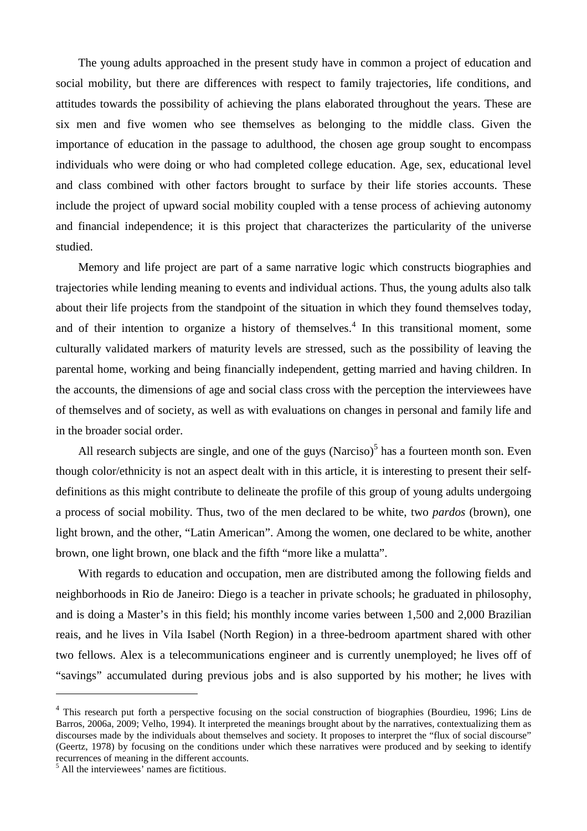The young adults approached in the present study have in common a project of education and social mobility, but there are differences with respect to family trajectories, life conditions, and attitudes towards the possibility of achieving the plans elaborated throughout the years. These are six men and five women who see themselves as belonging to the middle class. Given the importance of education in the passage to adulthood, the chosen age group sought to encompass individuals who were doing or who had completed college education. Age, sex, educational level and class combined with other factors brought to surface by their life stories accounts. These include the project of upward social mobility coupled with a tense process of achieving autonomy and financial independence; it is this project that characterizes the particularity of the universe studied.

Memory and life project are part of a same narrative logic which constructs biographies and trajectories while lending meaning to events and individual actions. Thus, the young adults also talk about their life projects from the standpoint of the situation in which they found themselves today, and of their intention to organize a history of themselves. $4$  In this transitional moment, some culturally validated markers of maturity levels are stressed, such as the possibility of leaving the parental home, working and being financially independent, getting married and having children. In the accounts, the dimensions of age and social class cross with the perception the interviewees have of themselves and of society, as well as with evaluations on changes in personal and family life and in the broader social order.

All research subjects are single, and one of the guys  $(Narciso)^5$  has a fourteen month son. Even though color/ethnicity is not an aspect dealt with in this article, it is interesting to present their selfdefinitions as this might contribute to delineate the profile of this group of young adults undergoing a process of social mobility. Thus, two of the men declared to be white, two *pardos* (brown), one light brown, and the other, "Latin American". Among the women, one declared to be white, another brown, one light brown, one black and the fifth "more like a mulatta".

With regards to education and occupation, men are distributed among the following fields and neighborhoods in Rio de Janeiro: Diego is a teacher in private schools; he graduated in philosophy, and is doing a Master's in this field; his monthly income varies between 1,500 and 2,000 Brazilian reais, and he lives in Vila Isabel (North Region) in a three-bedroom apartment shared with other two fellows. Alex is a telecommunications engineer and is currently unemployed; he lives off of "savings" accumulated during previous jobs and is also supported by his mother; he lives with

<sup>&</sup>lt;sup>4</sup> This research put forth a perspective focusing on the social construction of biographies (Bourdieu, 1996; Lins de Barros, 2006a, 2009; Velho, 1994). It interpreted the meanings brought about by the narratives, contextualizing them as discourses made by the individuals about themselves and society. It proposes to interpret the "flux of social discourse" (Geertz, 1978) by focusing on the conditions under which these narratives were produced and by seeking to identify recurrences of meaning in the different accounts.

<sup>&</sup>lt;sup>5</sup> All the interviewees' names are fictitious.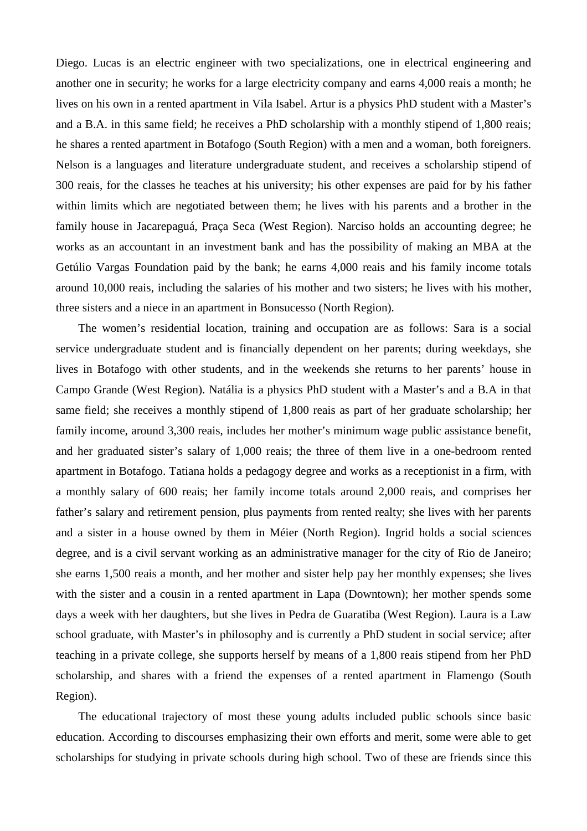Diego. Lucas is an electric engineer with two specializations, one in electrical engineering and another one in security; he works for a large electricity company and earns 4,000 reais a month; he lives on his own in a rented apartment in Vila Isabel. Artur is a physics PhD student with a Master's and a B.A. in this same field; he receives a PhD scholarship with a monthly stipend of 1,800 reais; he shares a rented apartment in Botafogo (South Region) with a men and a woman, both foreigners. Nelson is a languages and literature undergraduate student, and receives a scholarship stipend of 300 reais, for the classes he teaches at his university; his other expenses are paid for by his father within limits which are negotiated between them; he lives with his parents and a brother in the family house in Jacarepaguá, Praça Seca (West Region). Narciso holds an accounting degree; he works as an accountant in an investment bank and has the possibility of making an MBA at the Getúlio Vargas Foundation paid by the bank; he earns 4,000 reais and his family income totals around 10,000 reais, including the salaries of his mother and two sisters; he lives with his mother, three sisters and a niece in an apartment in Bonsucesso (North Region).

The women's residential location, training and occupation are as follows: Sara is a social service undergraduate student and is financially dependent on her parents; during weekdays, she lives in Botafogo with other students, and in the weekends she returns to her parents' house in Campo Grande (West Region). Natália is a physics PhD student with a Master's and a B.A in that same field; she receives a monthly stipend of 1,800 reais as part of her graduate scholarship; her family income, around 3,300 reais, includes her mother's minimum wage public assistance benefit, and her graduated sister's salary of 1,000 reais; the three of them live in a one-bedroom rented apartment in Botafogo. Tatiana holds a pedagogy degree and works as a receptionist in a firm, with a monthly salary of 600 reais; her family income totals around 2,000 reais, and comprises her father's salary and retirement pension, plus payments from rented realty; she lives with her parents and a sister in a house owned by them in Méier (North Region). Ingrid holds a social sciences degree, and is a civil servant working as an administrative manager for the city of Rio de Janeiro; she earns 1,500 reais a month, and her mother and sister help pay her monthly expenses; she lives with the sister and a cousin in a rented apartment in Lapa (Downtown); her mother spends some days a week with her daughters, but she lives in Pedra de Guaratiba (West Region). Laura is a Law school graduate, with Master's in philosophy and is currently a PhD student in social service; after teaching in a private college, she supports herself by means of a 1,800 reais stipend from her PhD scholarship, and shares with a friend the expenses of a rented apartment in Flamengo (South Region).

The educational trajectory of most these young adults included public schools since basic education. According to discourses emphasizing their own efforts and merit, some were able to get scholarships for studying in private schools during high school. Two of these are friends since this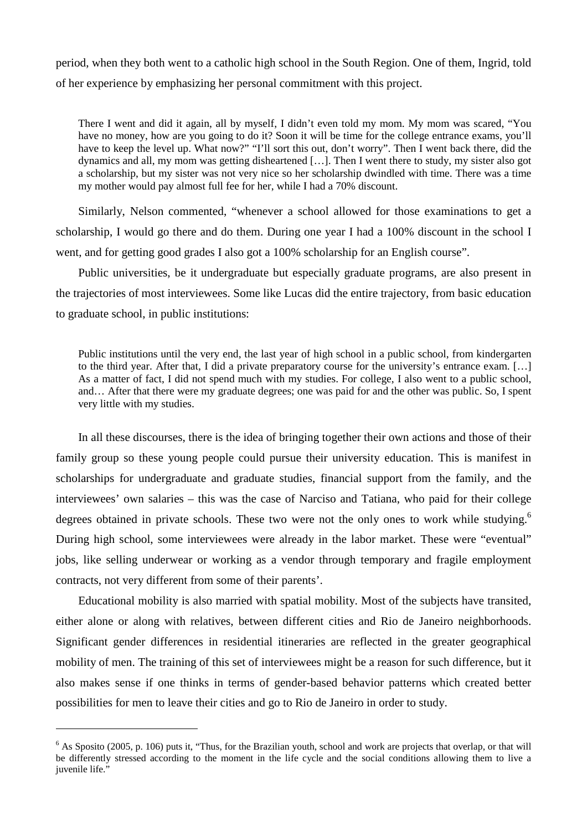period, when they both went to a catholic high school in the South Region. One of them, Ingrid, told of her experience by emphasizing her personal commitment with this project.

There I went and did it again, all by myself, I didn't even told my mom. My mom was scared, "You have no money, how are you going to do it? Soon it will be time for the college entrance exams, you'll have to keep the level up. What now?" "I'll sort this out, don't worry". Then I went back there, did the dynamics and all, my mom was getting disheartened […]. Then I went there to study, my sister also got a scholarship, but my sister was not very nice so her scholarship dwindled with time. There was a time my mother would pay almost full fee for her, while I had a 70% discount.

Similarly, Nelson commented, "whenever a school allowed for those examinations to get a scholarship, I would go there and do them. During one year I had a 100% discount in the school I went, and for getting good grades I also got a 100% scholarship for an English course".

Public universities, be it undergraduate but especially graduate programs, are also present in the trajectories of most interviewees. Some like Lucas did the entire trajectory, from basic education to graduate school, in public institutions:

Public institutions until the very end, the last year of high school in a public school, from kindergarten to the third year. After that, I did a private preparatory course for the university's entrance exam. […] As a matter of fact, I did not spend much with my studies. For college, I also went to a public school, and… After that there were my graduate degrees; one was paid for and the other was public. So, I spent very little with my studies.

In all these discourses, there is the idea of bringing together their own actions and those of their family group so these young people could pursue their university education. This is manifest in scholarships for undergraduate and graduate studies, financial support from the family, and the interviewees' own salaries – this was the case of Narciso and Tatiana, who paid for their college degrees obtained in private schools. These two were not the only ones to work while studying.<sup>6</sup> During high school, some interviewees were already in the labor market. These were "eventual" jobs, like selling underwear or working as a vendor through temporary and fragile employment contracts, not very different from some of their parents'.

Educational mobility is also married with spatial mobility. Most of the subjects have transited, either alone or along with relatives, between different cities and Rio de Janeiro neighborhoods. Significant gender differences in residential itineraries are reflected in the greater geographical mobility of men. The training of this set of interviewees might be a reason for such difference, but it also makes sense if one thinks in terms of gender-based behavior patterns which created better possibilities for men to leave their cities and go to Rio de Janeiro in order to study.

 $6$  As Sposito (2005, p. 106) puts it, "Thus, for the Brazilian youth, school and work are projects that overlap, or that will be differently stressed according to the moment in the life cycle and the social conditions allowing them to live a juvenile life."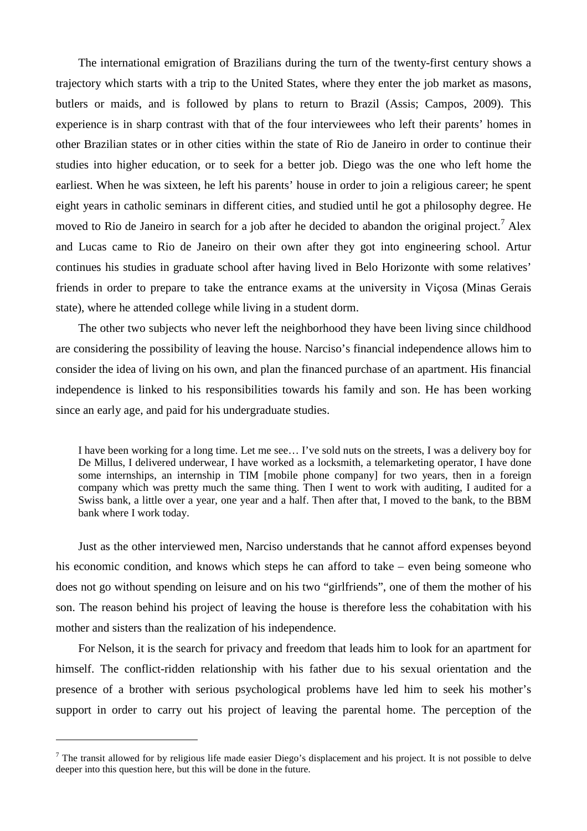The international emigration of Brazilians during the turn of the twenty-first century shows a trajectory which starts with a trip to the United States, where they enter the job market as masons, butlers or maids, and is followed by plans to return to Brazil (Assis; Campos, 2009). This experience is in sharp contrast with that of the four interviewees who left their parents' homes in other Brazilian states or in other cities within the state of Rio de Janeiro in order to continue their studies into higher education, or to seek for a better job. Diego was the one who left home the earliest. When he was sixteen, he left his parents' house in order to join a religious career; he spent eight years in catholic seminars in different cities, and studied until he got a philosophy degree. He moved to Rio de Janeiro in search for a job after he decided to abandon the original project.<sup>7</sup> Alex and Lucas came to Rio de Janeiro on their own after they got into engineering school. Artur continues his studies in graduate school after having lived in Belo Horizonte with some relatives' friends in order to prepare to take the entrance exams at the university in Viçosa (Minas Gerais state), where he attended college while living in a student dorm.

The other two subjects who never left the neighborhood they have been living since childhood are considering the possibility of leaving the house. Narciso's financial independence allows him to consider the idea of living on his own, and plan the financed purchase of an apartment. His financial independence is linked to his responsibilities towards his family and son. He has been working since an early age, and paid for his undergraduate studies.

I have been working for a long time. Let me see… I've sold nuts on the streets, I was a delivery boy for De Millus, I delivered underwear, I have worked as a locksmith, a telemarketing operator, I have done some internships, an internship in TIM [mobile phone company] for two years, then in a foreign company which was pretty much the same thing. Then I went to work with auditing, I audited for a Swiss bank, a little over a year, one year and a half. Then after that, I moved to the bank, to the BBM bank where I work today.

Just as the other interviewed men, Narciso understands that he cannot afford expenses beyond his economic condition, and knows which steps he can afford to take – even being someone who does not go without spending on leisure and on his two "girlfriends", one of them the mother of his son. The reason behind his project of leaving the house is therefore less the cohabitation with his mother and sisters than the realization of his independence.

For Nelson, it is the search for privacy and freedom that leads him to look for an apartment for himself. The conflict-ridden relationship with his father due to his sexual orientation and the presence of a brother with serious psychological problems have led him to seek his mother's support in order to carry out his project of leaving the parental home. The perception of the

 $<sup>7</sup>$  The transit allowed for by religious life made easier Diego's displacement and his project. It is not possible to delve</sup> deeper into this question here, but this will be done in the future.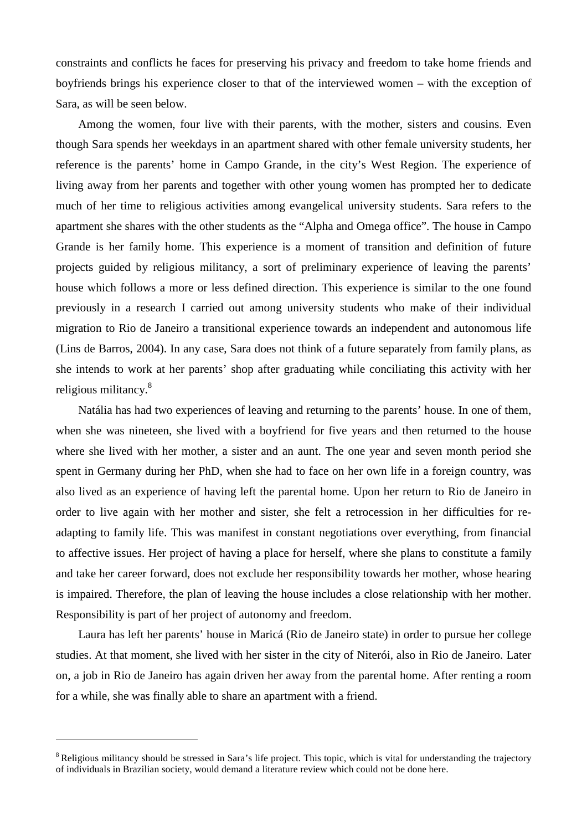constraints and conflicts he faces for preserving his privacy and freedom to take home friends and boyfriends brings his experience closer to that of the interviewed women – with the exception of Sara, as will be seen below.

Among the women, four live with their parents, with the mother, sisters and cousins. Even though Sara spends her weekdays in an apartment shared with other female university students, her reference is the parents' home in Campo Grande, in the city's West Region. The experience of living away from her parents and together with other young women has prompted her to dedicate much of her time to religious activities among evangelical university students. Sara refers to the apartment she shares with the other students as the "Alpha and Omega office". The house in Campo Grande is her family home. This experience is a moment of transition and definition of future projects guided by religious militancy, a sort of preliminary experience of leaving the parents' house which follows a more or less defined direction. This experience is similar to the one found previously in a research I carried out among university students who make of their individual migration to Rio de Janeiro a transitional experience towards an independent and autonomous life (Lins de Barros, 2004). In any case, Sara does not think of a future separately from family plans, as she intends to work at her parents' shop after graduating while conciliating this activity with her religious militancy.<sup>8</sup>

Natália has had two experiences of leaving and returning to the parents' house. In one of them, when she was nineteen, she lived with a boyfriend for five years and then returned to the house where she lived with her mother, a sister and an aunt. The one year and seven month period she spent in Germany during her PhD, when she had to face on her own life in a foreign country, was also lived as an experience of having left the parental home. Upon her return to Rio de Janeiro in order to live again with her mother and sister, she felt a retrocession in her difficulties for readapting to family life. This was manifest in constant negotiations over everything, from financial to affective issues. Her project of having a place for herself, where she plans to constitute a family and take her career forward, does not exclude her responsibility towards her mother, whose hearing is impaired. Therefore, the plan of leaving the house includes a close relationship with her mother. Responsibility is part of her project of autonomy and freedom.

Laura has left her parents' house in Maricá (Rio de Janeiro state) in order to pursue her college studies. At that moment, she lived with her sister in the city of Niterói, also in Rio de Janeiro. Later on, a job in Rio de Janeiro has again driven her away from the parental home. After renting a room for a while, she was finally able to share an apartment with a friend.

<sup>&</sup>lt;sup>8</sup> Religious militancy should be stressed in Sara's life project. This topic, which is vital for understanding the trajectory of individuals in Brazilian society, would demand a literature review which could not be done here.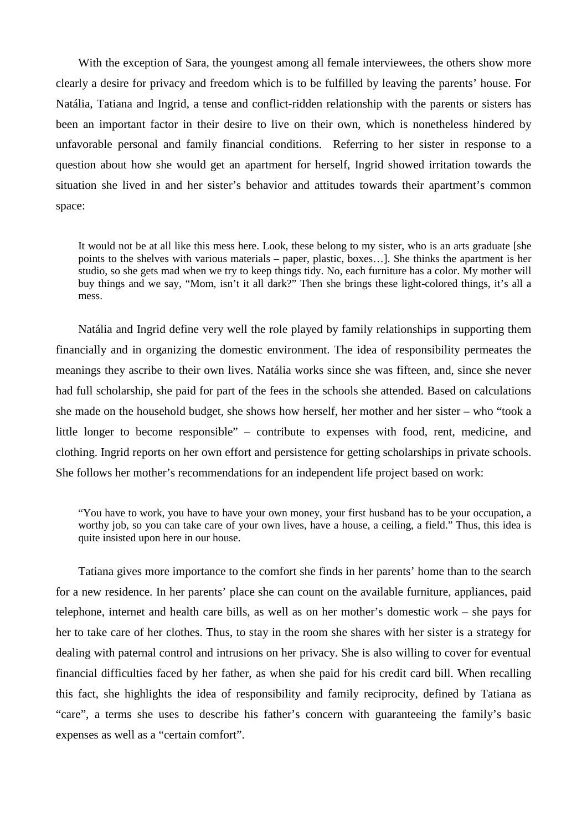With the exception of Sara, the youngest among all female interviewees, the others show more clearly a desire for privacy and freedom which is to be fulfilled by leaving the parents' house. For Natália, Tatiana and Ingrid, a tense and conflict-ridden relationship with the parents or sisters has been an important factor in their desire to live on their own, which is nonetheless hindered by unfavorable personal and family financial conditions. Referring to her sister in response to a question about how she would get an apartment for herself, Ingrid showed irritation towards the situation she lived in and her sister's behavior and attitudes towards their apartment's common space:

It would not be at all like this mess here. Look, these belong to my sister, who is an arts graduate [she points to the shelves with various materials – paper, plastic, boxes…]. She thinks the apartment is her studio, so she gets mad when we try to keep things tidy. No, each furniture has a color. My mother will buy things and we say, "Mom, isn't it all dark?" Then she brings these light-colored things, it's all a mess.

Natália and Ingrid define very well the role played by family relationships in supporting them financially and in organizing the domestic environment. The idea of responsibility permeates the meanings they ascribe to their own lives. Natália works since she was fifteen, and, since she never had full scholarship, she paid for part of the fees in the schools she attended. Based on calculations she made on the household budget, she shows how herself, her mother and her sister – who "took a little longer to become responsible" – contribute to expenses with food, rent, medicine, and clothing. Ingrid reports on her own effort and persistence for getting scholarships in private schools. She follows her mother's recommendations for an independent life project based on work:

"You have to work, you have to have your own money, your first husband has to be your occupation, a worthy job, so you can take care of your own lives, have a house, a ceiling, a field." Thus, this idea is quite insisted upon here in our house.

Tatiana gives more importance to the comfort she finds in her parents' home than to the search for a new residence. In her parents' place she can count on the available furniture, appliances, paid telephone, internet and health care bills, as well as on her mother's domestic work – she pays for her to take care of her clothes. Thus, to stay in the room she shares with her sister is a strategy for dealing with paternal control and intrusions on her privacy. She is also willing to cover for eventual financial difficulties faced by her father, as when she paid for his credit card bill. When recalling this fact, she highlights the idea of responsibility and family reciprocity, defined by Tatiana as "care", a terms she uses to describe his father's concern with guaranteeing the family's basic expenses as well as a "certain comfort".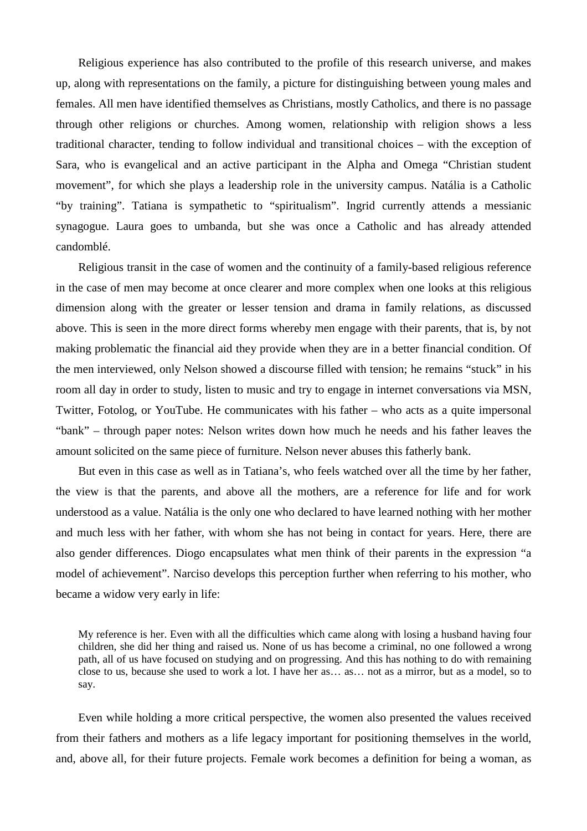Religious experience has also contributed to the profile of this research universe, and makes up, along with representations on the family, a picture for distinguishing between young males and females. All men have identified themselves as Christians, mostly Catholics, and there is no passage through other religions or churches. Among women, relationship with religion shows a less traditional character, tending to follow individual and transitional choices – with the exception of Sara, who is evangelical and an active participant in the Alpha and Omega "Christian student movement", for which she plays a leadership role in the university campus. Natália is a Catholic "by training". Tatiana is sympathetic to "spiritualism". Ingrid currently attends a messianic synagogue. Laura goes to umbanda, but she was once a Catholic and has already attended candomblé.

Religious transit in the case of women and the continuity of a family-based religious reference in the case of men may become at once clearer and more complex when one looks at this religious dimension along with the greater or lesser tension and drama in family relations, as discussed above. This is seen in the more direct forms whereby men engage with their parents, that is, by not making problematic the financial aid they provide when they are in a better financial condition. Of the men interviewed, only Nelson showed a discourse filled with tension; he remains "stuck" in his room all day in order to study, listen to music and try to engage in internet conversations via MSN, Twitter, Fotolog, or YouTube. He communicates with his father – who acts as a quite impersonal "bank" – through paper notes: Nelson writes down how much he needs and his father leaves the amount solicited on the same piece of furniture. Nelson never abuses this fatherly bank.

But even in this case as well as in Tatiana's, who feels watched over all the time by her father, the view is that the parents, and above all the mothers, are a reference for life and for work understood as a value. Natália is the only one who declared to have learned nothing with her mother and much less with her father, with whom she has not being in contact for years. Here, there are also gender differences. Diogo encapsulates what men think of their parents in the expression "a model of achievement". Narciso develops this perception further when referring to his mother, who became a widow very early in life:

My reference is her. Even with all the difficulties which came along with losing a husband having four children, she did her thing and raised us. None of us has become a criminal, no one followed a wrong path, all of us have focused on studying and on progressing. And this has nothing to do with remaining close to us, because she used to work a lot. I have her as… as… not as a mirror, but as a model, so to say.

Even while holding a more critical perspective, the women also presented the values received from their fathers and mothers as a life legacy important for positioning themselves in the world, and, above all, for their future projects. Female work becomes a definition for being a woman, as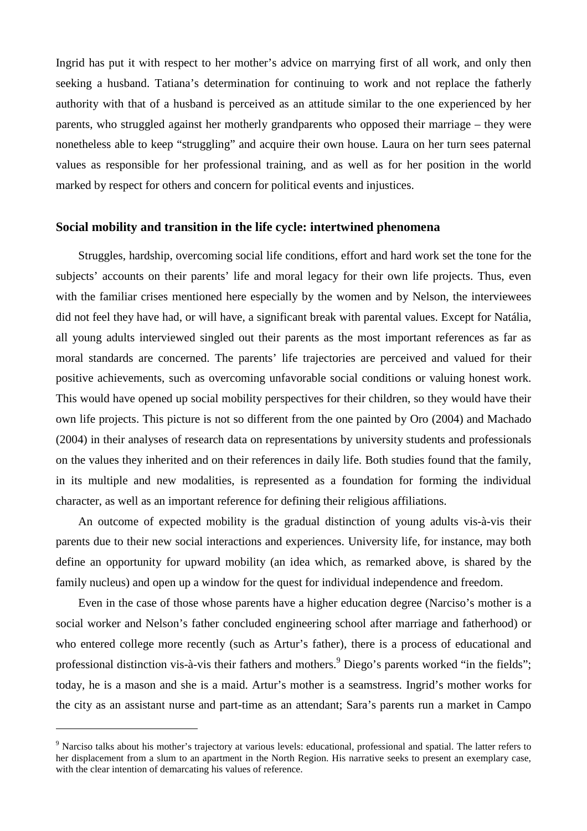Ingrid has put it with respect to her mother's advice on marrying first of all work, and only then seeking a husband. Tatiana's determination for continuing to work and not replace the fatherly authority with that of a husband is perceived as an attitude similar to the one experienced by her parents, who struggled against her motherly grandparents who opposed their marriage – they were nonetheless able to keep "struggling" and acquire their own house. Laura on her turn sees paternal values as responsible for her professional training, and as well as for her position in the world marked by respect for others and concern for political events and injustices.

#### **Social mobility and transition in the life cycle: intertwined phenomena**

Struggles, hardship, overcoming social life conditions, effort and hard work set the tone for the subjects' accounts on their parents' life and moral legacy for their own life projects. Thus, even with the familiar crises mentioned here especially by the women and by Nelson, the interviewees did not feel they have had, or will have, a significant break with parental values. Except for Natália, all young adults interviewed singled out their parents as the most important references as far as moral standards are concerned. The parents' life trajectories are perceived and valued for their positive achievements, such as overcoming unfavorable social conditions or valuing honest work. This would have opened up social mobility perspectives for their children, so they would have their own life projects. This picture is not so different from the one painted by Oro (2004) and Machado (2004) in their analyses of research data on representations by university students and professionals on the values they inherited and on their references in daily life. Both studies found that the family, in its multiple and new modalities, is represented as a foundation for forming the individual character, as well as an important reference for defining their religious affiliations.

An outcome of expected mobility is the gradual distinction of young adults vis-à-vis their parents due to their new social interactions and experiences. University life, for instance, may both define an opportunity for upward mobility (an idea which, as remarked above, is shared by the family nucleus) and open up a window for the quest for individual independence and freedom.

Even in the case of those whose parents have a higher education degree (Narciso's mother is a social worker and Nelson's father concluded engineering school after marriage and fatherhood) or who entered college more recently (such as Artur's father), there is a process of educational and professional distinction vis-à-vis their fathers and mothers.<sup>9</sup> Diego's parents worked "in the fields"; today, he is a mason and she is a maid. Artur's mother is a seamstress. Ingrid's mother works for the city as an assistant nurse and part-time as an attendant; Sara's parents run a market in Campo

<sup>&</sup>lt;sup>9</sup> Narciso talks about his mother's trajectory at various levels: educational, professional and spatial. The latter refers to her displacement from a slum to an apartment in the North Region. His narrative seeks to present an exemplary case, with the clear intention of demarcating his values of reference.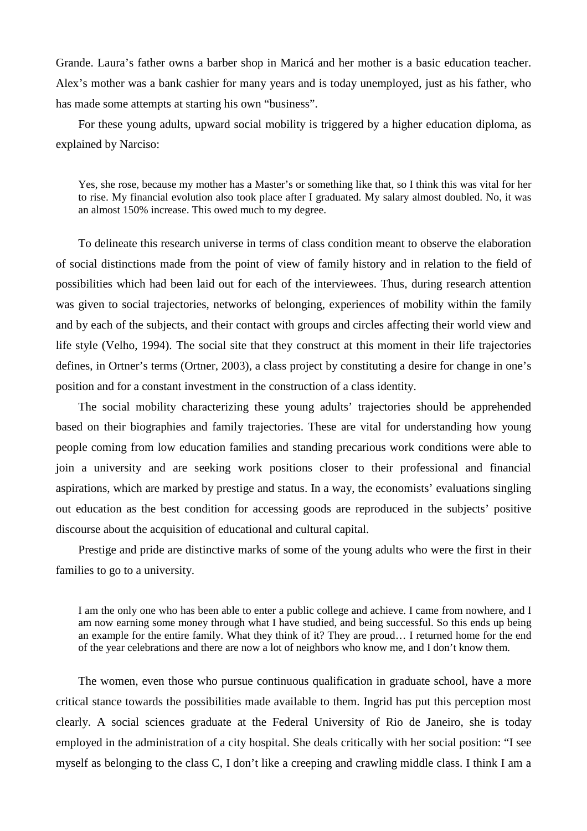Grande. Laura's father owns a barber shop in Maricá and her mother is a basic education teacher. Alex's mother was a bank cashier for many years and is today unemployed, just as his father, who has made some attempts at starting his own "business".

For these young adults, upward social mobility is triggered by a higher education diploma, as explained by Narciso:

Yes, she rose, because my mother has a Master's or something like that, so I think this was vital for her to rise. My financial evolution also took place after I graduated. My salary almost doubled. No, it was an almost 150% increase. This owed much to my degree.

To delineate this research universe in terms of class condition meant to observe the elaboration of social distinctions made from the point of view of family history and in relation to the field of possibilities which had been laid out for each of the interviewees. Thus, during research attention was given to social trajectories, networks of belonging, experiences of mobility within the family and by each of the subjects, and their contact with groups and circles affecting their world view and life style (Velho, 1994). The social site that they construct at this moment in their life trajectories defines, in Ortner's terms (Ortner, 2003), a class project by constituting a desire for change in one's position and for a constant investment in the construction of a class identity.

The social mobility characterizing these young adults' trajectories should be apprehended based on their biographies and family trajectories. These are vital for understanding how young people coming from low education families and standing precarious work conditions were able to join a university and are seeking work positions closer to their professional and financial aspirations, which are marked by prestige and status. In a way, the economists' evaluations singling out education as the best condition for accessing goods are reproduced in the subjects' positive discourse about the acquisition of educational and cultural capital.

Prestige and pride are distinctive marks of some of the young adults who were the first in their families to go to a university.

I am the only one who has been able to enter a public college and achieve. I came from nowhere, and I am now earning some money through what I have studied, and being successful. So this ends up being an example for the entire family. What they think of it? They are proud… I returned home for the end of the year celebrations and there are now a lot of neighbors who know me, and I don't know them.

The women, even those who pursue continuous qualification in graduate school, have a more critical stance towards the possibilities made available to them. Ingrid has put this perception most clearly. A social sciences graduate at the Federal University of Rio de Janeiro, she is today employed in the administration of a city hospital. She deals critically with her social position: "I see myself as belonging to the class C, I don't like a creeping and crawling middle class. I think I am a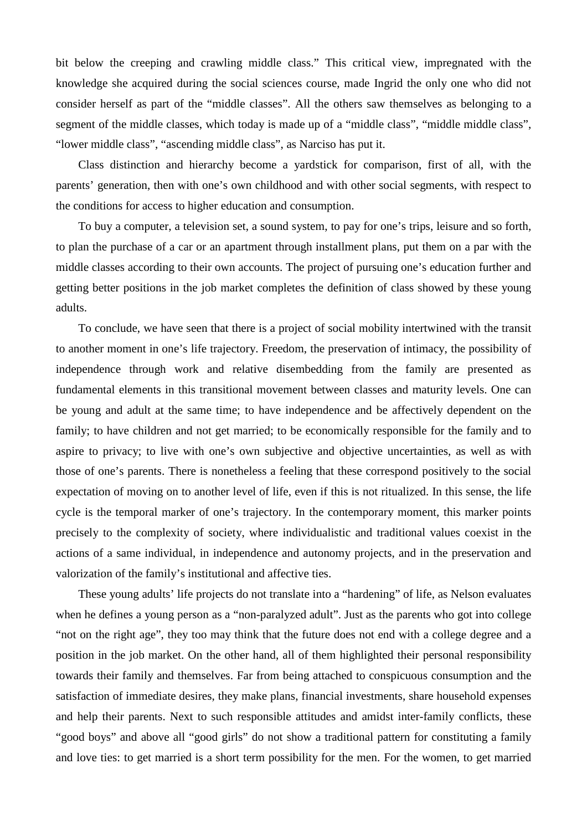bit below the creeping and crawling middle class." This critical view, impregnated with the knowledge she acquired during the social sciences course, made Ingrid the only one who did not consider herself as part of the "middle classes". All the others saw themselves as belonging to a segment of the middle classes, which today is made up of a "middle class", "middle middle class", "lower middle class", "ascending middle class", as Narciso has put it.

Class distinction and hierarchy become a yardstick for comparison, first of all, with the parents' generation, then with one's own childhood and with other social segments, with respect to the conditions for access to higher education and consumption.

To buy a computer, a television set, a sound system, to pay for one's trips, leisure and so forth, to plan the purchase of a car or an apartment through installment plans, put them on a par with the middle classes according to their own accounts. The project of pursuing one's education further and getting better positions in the job market completes the definition of class showed by these young adults.

To conclude, we have seen that there is a project of social mobility intertwined with the transit to another moment in one's life trajectory. Freedom, the preservation of intimacy, the possibility of independence through work and relative disembedding from the family are presented as fundamental elements in this transitional movement between classes and maturity levels. One can be young and adult at the same time; to have independence and be affectively dependent on the family; to have children and not get married; to be economically responsible for the family and to aspire to privacy; to live with one's own subjective and objective uncertainties, as well as with those of one's parents. There is nonetheless a feeling that these correspond positively to the social expectation of moving on to another level of life, even if this is not ritualized. In this sense, the life cycle is the temporal marker of one's trajectory. In the contemporary moment, this marker points precisely to the complexity of society, where individualistic and traditional values coexist in the actions of a same individual, in independence and autonomy projects, and in the preservation and valorization of the family's institutional and affective ties.

These young adults' life projects do not translate into a "hardening" of life, as Nelson evaluates when he defines a young person as a "non-paralyzed adult". Just as the parents who got into college "not on the right age", they too may think that the future does not end with a college degree and a position in the job market. On the other hand, all of them highlighted their personal responsibility towards their family and themselves. Far from being attached to conspicuous consumption and the satisfaction of immediate desires, they make plans, financial investments, share household expenses and help their parents. Next to such responsible attitudes and amidst inter-family conflicts, these "good boys" and above all "good girls" do not show a traditional pattern for constituting a family and love ties: to get married is a short term possibility for the men. For the women, to get married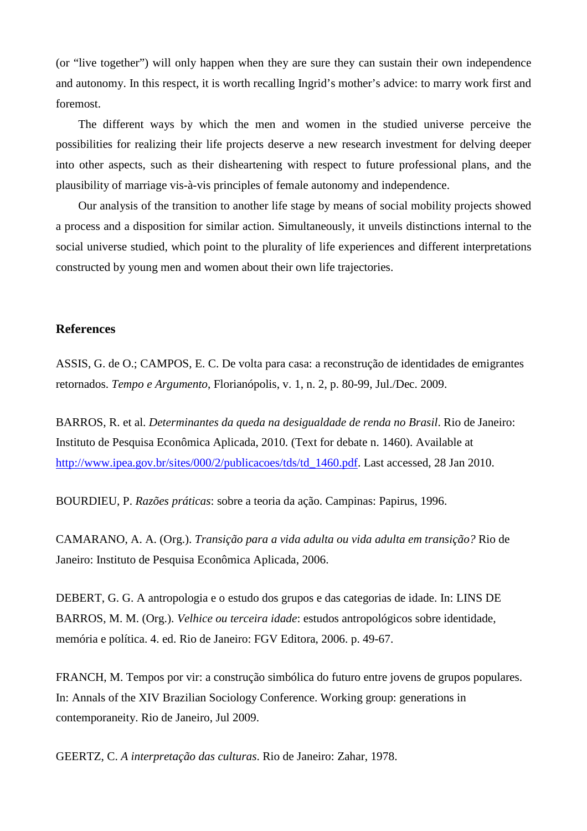(or "live together") will only happen when they are sure they can sustain their own independence and autonomy. In this respect, it is worth recalling Ingrid's mother's advice: to marry work first and foremost.

The different ways by which the men and women in the studied universe perceive the possibilities for realizing their life projects deserve a new research investment for delving deeper into other aspects, such as their disheartening with respect to future professional plans, and the plausibility of marriage vis-à-vis principles of female autonomy and independence.

Our analysis of the transition to another life stage by means of social mobility projects showed a process and a disposition for similar action. Simultaneously, it unveils distinctions internal to the social universe studied, which point to the plurality of life experiences and different interpretations constructed by young men and women about their own life trajectories.

#### **References**

ASSIS, G. de O.; CAMPOS, E. C. De volta para casa: a reconstrução de identidades de emigrantes retornados. *Tempo e Argumento*, Florianópolis, v. 1, n. 2, p. 80-99, Jul./Dec. 2009.

BARROS, R. et al. *Determinantes da queda na desigualdade de renda no Brasil*. Rio de Janeiro: Instituto de Pesquisa Econômica Aplicada, 2010. (Text for debate n. 1460). Available at http://www.ipea.gov.br/sites/000/2/publicacoes/tds/td 1460.pdf. Last accessed, 28 Jan 2010.

BOURDIEU, P. *Razões práticas*: sobre a teoria da ação. Campinas: Papirus, 1996.

CAMARANO, A. A. (Org.). *Transição para a vida adulta ou vida adulta em transição?* Rio de Janeiro: Instituto de Pesquisa Econômica Aplicada, 2006.

DEBERT, G. G. A antropologia e o estudo dos grupos e das categorias de idade. In: LINS DE BARROS, M. M. (Org.). *Velhice ou terceira idade*: estudos antropológicos sobre identidade, memória e política. 4. ed. Rio de Janeiro: FGV Editora, 2006. p. 49-67.

FRANCH, M. Tempos por vir: a construção simbólica do futuro entre jovens de grupos populares. In: Annals of the XIV Brazilian Sociology Conference. Working group: generations in contemporaneity. Rio de Janeiro, Jul 2009.

GEERTZ, C. *A interpretação das culturas*. Rio de Janeiro: Zahar, 1978.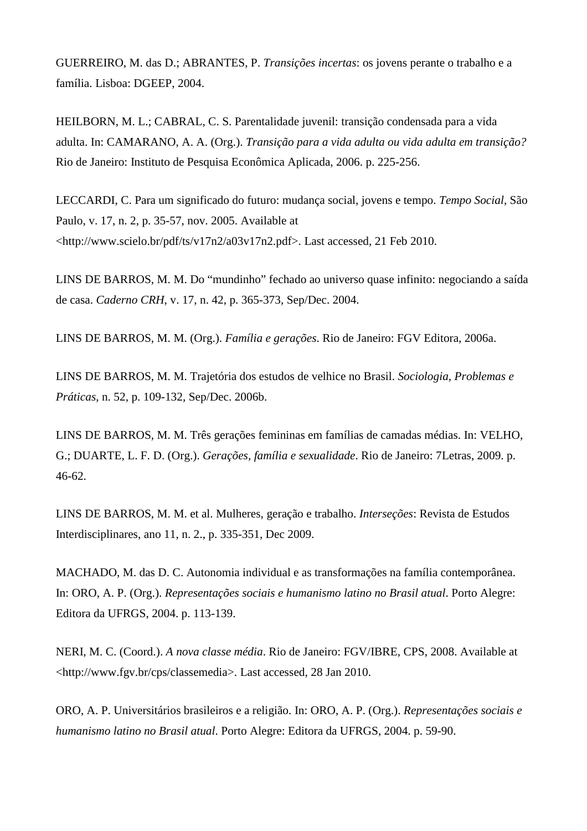GUERREIRO, M. das D.; ABRANTES, P. *Transições incertas*: os jovens perante o trabalho e a família. Lisboa: DGEEP, 2004.

HEILBORN, M. L.; CABRAL, C. S. Parentalidade juvenil: transição condensada para a vida adulta. In: CAMARANO, A. A. (Org.). *Transição para a vida adulta ou vida adulta em transição?* Rio de Janeiro: Instituto de Pesquisa Econômica Aplicada, 2006. p. 225-256.

LECCARDI, C. Para um significado do futuro: mudança social, jovens e tempo. *Tempo Social*, São Paulo, v. 17, n. 2, p. 35-57, nov. 2005. Available at  $\lt$ http://www.scielo.br/pdf/ts/v17n2/a03v17n2.pdf>. Last accessed, 21 Feb 2010.

LINS DE BARROS, M. M. Do "mundinho" fechado ao universo quase infinito: negociando a saída de casa. *Caderno CRH*, v. 17, n. 42, p. 365-373, Sep/Dec. 2004.

LINS DE BARROS, M. M. (Org.). *Família e gerações*. Rio de Janeiro: FGV Editora, 2006a.

LINS DE BARROS, M. M. Trajetória dos estudos de velhice no Brasil. *Sociologia, Problemas e Práticas*, n. 52, p. 109-132, Sep/Dec. 2006b.

LINS DE BARROS, M. M. Três gerações femininas em famílias de camadas médias. In: VELHO, G.; DUARTE, L. F. D. (Org.). *Gerações, família e sexualidade*. Rio de Janeiro: 7Letras, 2009. p. 46-62.

LINS DE BARROS, M. M. et al. Mulheres, geração e trabalho. *Interseções*: Revista de Estudos Interdisciplinares, ano 11, n. 2., p. 335-351, Dec 2009.

MACHADO, M. das D. C. Autonomia individual e as transformações na família contemporânea. In: ORO, A. P. (Org.). *Representações sociais e humanismo latino no Brasil atual*. Porto Alegre: Editora da UFRGS, 2004. p. 113-139.

NERI, M. C. (Coord.). *A nova classe média*. Rio de Janeiro: FGV/IBRE, CPS, 2008. Available at <http://www.fgv.br/cps/classemedia>. Last accessed, 28 Jan 2010.

ORO, A. P. Universitários brasileiros e a religião. In: ORO, A. P. (Org.). *Representações sociais e humanismo latino no Brasil atual*. Porto Alegre: Editora da UFRGS, 2004. p. 59-90.